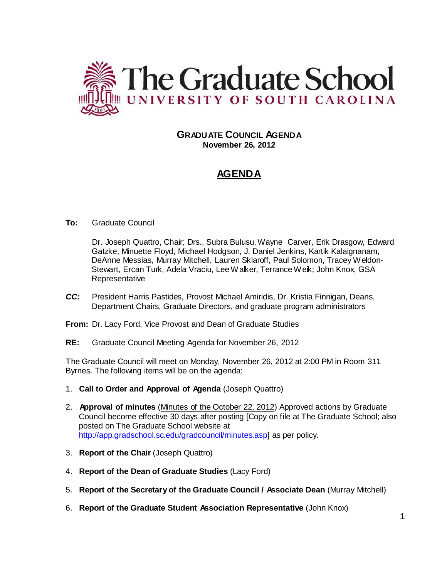

# **GRADUATE COUNCIL AGENDA November 26, 2012**

# **AGENDA**

# **To:** Graduate Council

Dr. Joseph Quattro, Chair; Drs., Subra Bulusu, Wayne Carver, Erik Drasgow, Edward Gatzke, Minuette Floyd, Michael Hodgson, J. Daniel Jenkins, Kartik Kalaignanam, DeAnne Messias, Murray Mitchell, Lauren Sklaroff, Paul Solomon, Tracey Weldon-Stewart, Ercan Turk, Adela Vraciu, LeeWalker, Terrance Weik; John Knox, GSA **Representative** 

- *CC:* President Harris Pastides, Provost Michael Amiridis, Dr. Kristia Finnigan, Deans, Department Chairs, Graduate Directors, and graduate program administrators
- **From:** Dr. Lacy Ford, Vice Provost and Dean of Graduate Studies
- **RE:** Graduate Council Meeting Agenda for November 26, 2012

The Graduate Council will meet on Monday, November 26, 2012 at 2:00 PM in Room 311 Byrnes. The following items will be on the agenda:

- 1. **Call to Order and Approval of Agenda** (Joseph Quattro)
- 2. **Approval of minutes** (Minutes of the October 22, 2012) Approved actions by Graduate Council become effective 30 days after posting [Copy on file at The Graduate School; also posted on The Graduate School website at [http://app.gradschool.sc.edu/gradcouncil/minutes.asp\]](http://app.gradschool.sc.edu/gradcouncil/minutes.asp) as per policy.
- 3. **Report of the Chair** (Joseph Quattro)
- 4. **Report of the Dean of Graduate Studies** (Lacy Ford)
- 5. **Report of the Secretary of the Graduate Council / Associate Dean** (Murray Mitchell)
- 6. **Report of the Graduate Student Association Representative** (John Knox)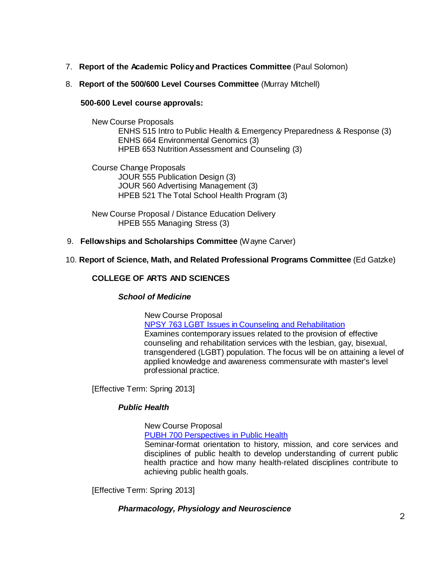- 7. **Report of the Academic Policy and Practices Committee** (Paul Solomon)
- 8. **Report of the 500/600 Level Courses Committee** (Murray Mitchell)

### **500-600 Level course approvals:**

New Course Proposals ENHS 515 Intro to Public Health & Emergency Preparedness & Response (3) ENHS 664 Environmental Genomics (3) HPEB 653 Nutrition Assessment and Counseling (3)

Course Change Proposals JOUR 555 Publication Design (3) JOUR 560 Advertising Management (3) HPEB 521 The Total School Health Program (3)

New Course Proposal / Distance Education Delivery HPEB 555 Managing Stress (3)

9. **Fellowships and Scholarships Committee** (Wayne Carver)

# 10. **Report of Science, Math, and Related Professional Programs Committee** (Ed Gatzke)

# **COLLEGE OF ARTS AND SCIENCES**

# *School of Medicine*

New Course Proposal NPSY 763 LGBT Issues [in Counseling](http://gradschool.sc.edu/facstaff/gradcouncil/2012/NPSY%20763%20LGBT%20Issues%20Counslng%20%26%20Rehab%20NCP%20DED%2020121114_Redacted.pdf) and Rehabilitation Examines contemporary issues related to the provision of effective counseling and rehabilitation services with the lesbian, gay, bisexual, transgendered (LGBT) population. The focus will be on attaining a level of applied knowledge and awareness commensurate with master's level professional practice.

[Effective Term: Spring 2013]

# *Public Health*

New Course Proposal PUBH 700 [Perspectives](http://gradschool.sc.edu/facstaff/gradcouncil/2012/PUBH%20700%20Perspectives%20in%20Public%20Health_Redacted.pdf) in Public Health Seminar-format orientation to history, mission, and core services and disciplines of public health to develop understanding of current public health practice and how many health-related disciplines contribute to achieving public health goals.

[Effective Term: Spring 2013]

# *Pharmacology, Physiology and Neuroscience*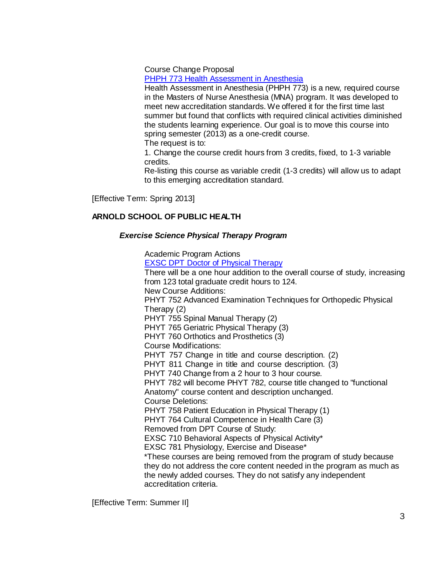Course Change Proposal

PHPH 773 Health [Assessment in](http://gradschool.sc.edu/facstaff/gradcouncil/2012/PHPH773%20CCP%20Health%20Assessment%20in%20Anesthesia%2018Oct2012.pdf) Anesthesia

Health Assessment in Anesthesia (PHPH 773) is a new, required course in the Masters of Nurse Anesthesia (MNA) program. It was developed to meet new accreditation standards. We offered it for the first time last summer but found that conflicts with required clinical activities diminished the students learning experience. Our goal is to move this course into spring semester (2013) as a one-credit course.

The request is to:

1. Change the course credit hours from 3 credits, fixed, to 1-3 variable credits.

Re-listing this course as variable credit (1-3 credits) will allow us to adapt to this emerging accreditation standard.

[Effective Term: Spring 2013]

# **ARNOLD SCHOOL OF PUBLIC HEALTH**

### *Exercise Science Physical Therapy Program*

Academic Program Actions EXSC DPT Doctor of Physical [Therapy](http://gradschool.sc.edu/facstaff/gradcouncil/2012/EXSC%20DPT%20Doctor%20of%20Physical%20Therapy_Redacted.pdf) There will be a one hour addition to the overall course of study, increasing from 123 total graduate credit hours to 124. New Course Additions: PHYT 752 Advanced Examination Techniques for Orthopedic Physical Therapy (2) PHYT 755 Spinal Manual Therapy (2) PHYT 765 Geriatric Physical Therapy (3) PHYT 760 Orthotics and Prosthetics (3) Course Modifications: PHYT 757 Change in title and course description. (2) PHYT 811 Change in title and course description. (3) PHYT 740 Change from a 2 hour to 3 hour course. PHYT 782 will become PHYT 782, course title changed to "functional Anatomy" course content and description unchanged. Course Deletions: PHYT 758 Patient Education in Physical Therapy (1) PHYT 764 Cultural Competence in Health Care (3) Removed from DPT Course of Study: EXSC 710 Behavioral Aspects of Physical Activity\* EXSC 781 Physiology, Exercise and Disease\* \*These courses are being removed from the program of study because they do not address the core content needed in the program as much as the newly added courses. They do not satisfy any independent accreditation criteria.

[Effective Term: Summer II]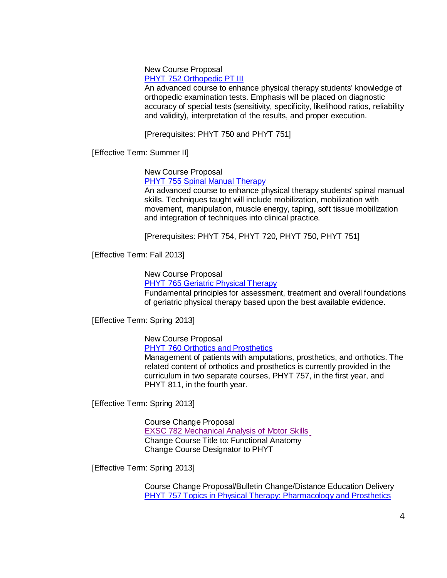New Course Proposal

PHYT 752 [Orthopedic](http://gradschool.sc.edu/facstaff/gradcouncil/2012/PHYT%20752%20Orthopedic%20PT%20III%20NCP_Redacted.pdf) PT III

An advanced course to enhance physical therapy students' knowledge of orthopedic examination tests. Emphasis will be placed on diagnostic accuracy of special tests (sensitivity, specificity, likelihood ratios, reliability and validity), interpretation of the results, and proper execution.

[Prerequisites: PHYT 750 and PHYT 751]

[Effective Term: Summer II]

New Course Proposal

PHYT 755 Spinal [Manual Therapy](http://gradschool.sc.edu/facstaff/gradcouncil/2012/PHYT%20755%20SPINAL%20MANUAL%20THERAPY%20NCP%2020121113_Redacted.pdf)

An advanced course to enhance physical therapy students' spinal manual skills. Techniques taught will include mobilization, mobilization with movement, manipulation, muscle energy, taping, soft tissue mobilization and integration of techniques into clinical practice.

[Prerequisites: PHYT 754, PHYT 720, PHYT 750, PHYT 751]

[Effective Term: Fall 2013]

New Course Proposal

PHYT 765 [Geriatric](http://gradschool.sc.edu/facstaff/gradcouncil/2012/PHYT%20765%20Geriatric%20Physical%20therapy%20NCP%2020121113_Redacted.pdf) Physical Therapy

Fundamental principles for assessment, treatment and overall foundations of geriatric physical therapy based upon the best available evidence.

[Effective Term: Spring 2013]

New Course Proposal

PHYT 760 Orthotics and [Prosthetics](http://gradschool.sc.edu/facstaff/gradcouncil/2012/PHYT%20760%20Orthotics%20and%20Prosthetics%20NCP%2020121113_Redacted.pdf)

Management of patients with amputations, prosthetics, and orthotics. The related content of orthotics and prosthetics is currently provided in the curriculum in two separate courses, PHYT 757, in the first year, and PHYT 811, in the fourth year.

[Effective Term: Spring 2013]

Course Change Proposal EXSC 782 [Mechanical Analysis](http://gradschool.sc.edu/facstaff/gradcouncil/2012/EXSC%20782%20CCP%20(Public%20Health%2010-1-12).pdf) of Motor Skills Change Course Title to: Functional Anatomy Change Course Designator to PHYT

[Effective Term: Spring 2013]

Course Change Proposal/Bulletin Change/Distance Education Delivery PHYT 757 Topics in Physical Therapy: [Pharmacology](http://gradschool.sc.edu/facstaff/gradcouncil/2012/PHYT%20757%20Topics%20in%20Physical%20Therapy%20Pharmacology%20and%20Prosthetics%20CCP%20DED%2020121113_Redacted.pdf) and Prosthetics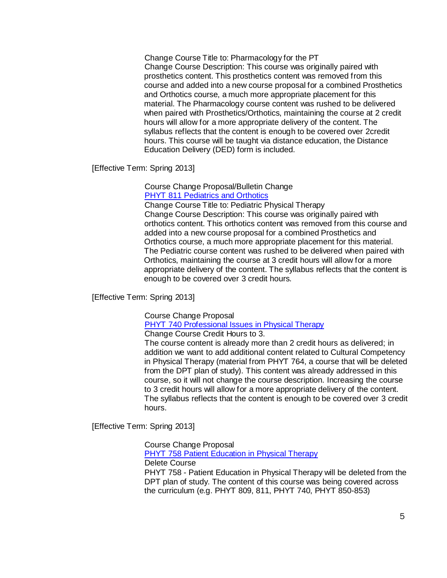Change Course Title to: Pharmacology for the PT Change Course Description: This course was originally paired with prosthetics content. This prosthetics content was removed from this course and added into a new course proposal for a combined Prosthetics and Orthotics course, a much more appropriate placement for this material. The Pharmacology course content was rushed to be delivered when paired with Prosthetics/Orthotics, maintaining the course at 2 credit hours will allow for a more appropriate delivery of the content. The syllabus reflects that the content is enough to be covered over 2credit hours. This course will be taught via distance education, the Distance Education Delivery (DED) form is included.

[Effective Term: Spring 2013]

Course Change Proposal/Bulletin Change PHYT 811 [Pediatrics](http://gradschool.sc.edu/facstaff/gradcouncil/2012/PHYT%20811%20Pdiatris%20and%20Orthotics%20CCP%20BCH%2020121113_Redacted.pdf) and Orthotics

Change Course Title to: Pediatric Physical Therapy Change Course Description: This course was originally paired with orthotics content. This orthotics content was removed from this course and added into a new course proposal for a combined Prosthetics and Orthotics course, a much more appropriate placement for this material. The Pediatric course content was rushed to be delivered when paired with Orthotics, maintaining the course at 3 credit hours will allow for a more appropriate delivery of the content. The syllabus reflects that the content is enough to be covered over 3 credit hours.

[Effective Term: Spring 2013]

Course Change Proposal

PHYT 740 [Professional](http://gradschool.sc.edu/facstaff/gradcouncil/2012/PHYT%20740%20CCP%20(Public%20Health%2010-1-12).pdf) Issues in Physical Therapy

Change Course Credit Hours to 3.

The course content is already more than 2 credit hours as delivered; in addition we want to add additional content related to Cultural Competency in Physical Therapy (material from PHYT 764, a course that will be deleted from the DPT plan of study). This content was already addressed in this course, so it will not change the course description. Increasing the course to 3 credit hours will allow for a more appropriate delivery of the content. The syllabus reflects that the content is enough to be covered over 3 credit hours.

[Effective Term: Spring 2013]

Course Change Proposal

PHYT 758 Patient [Education](http://gradschool.sc.edu/facstaff/gradcouncil/2012/PHYT%20758%20CCP%20(Public%20Health%2010-1-12).pdf) in Physical Therapy

Delete Course

PHYT 758 - Patient Education in Physical Therapy will be deleted from the DPT plan of study. The content of this course was being covered across the curriculum (e.g. PHYT 809, 811, PHYT 740, PHYT 850-853)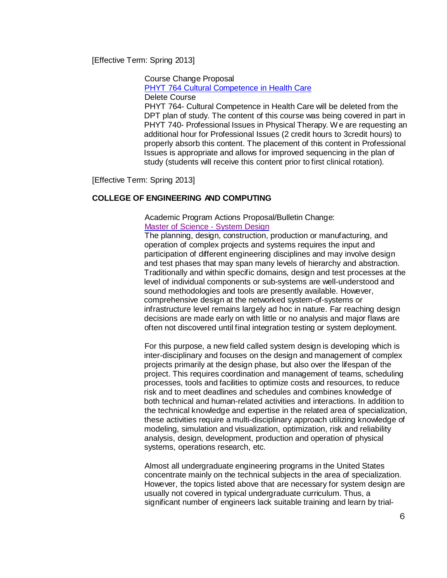[Effective Term: Spring 2013]

Course Change Proposal

PHYT 764 [Cultural Competence](http://gradschool.sc.edu/facstaff/gradcouncil/2012/PHYT%20764%20CCP%20(Public%20Health%2010-1-12).pdf) in Health Care

Delete Course

PHYT 764- Cultural Competence in Health Care will be deleted from the DPT plan of study. The content of this course was being covered in part in PHYT 740- Professional Issues in Physical Therapy. W e are requesting an additional hour for Professional Issues (2 credit hours to 3credit hours) to properly absorb this content. The placement of this content in Professional Issues is appropriate and allows for improved sequencing in the plan of study (students will receive this content prior to first clinical rotation).

[Effective Term: Spring 2013]

# **COLLEGE OF ENGINEERING AND COMPUTING**

Academic Program Actions Proposal/Bulletin Change: Master of [Science](http://gradschool.sc.edu/facstaff/gradcouncil/2012/Master%20of%20Science%20System%20Design_Redacted.pdf) - System Design

The planning, design, construction, production or manufacturing, and operation of complex projects and systems requires the input and participation of different engineering disciplines and may involve design and test phases that may span many levels of hierarchy and abstraction. Traditionally and within specific domains, design and test processes at the level of individual components or sub-systems are well-understood and sound methodologies and tools are presently available. However, comprehensive design at the networked system-of-systems or infrastructure level remains largely ad hoc in nature. Far reaching design decisions are made early on with little or no analysis and major flaws are often not discovered until final integration testing or system deployment.

For this purpose, a new field called system design is developing which is inter-disciplinary and focuses on the design and management of complex projects primarily at the design phase, but also over the lifespan of the project. This requires coordination and management of teams, scheduling processes, tools and facilities to optimize costs and resources, to reduce risk and to meet deadlines and schedules and combines knowledge of both technical and human-related activities and interactions. In addition to the technical knowledge and expertise in the related area of specialization, these activities require a multi-disciplinary approach utilizing knowledge of modeling, simulation and visualization, optimization, risk and reliability analysis, design, development, production and operation of physical systems, operations research, etc.

Almost all undergraduate engineering programs in the United States concentrate mainly on the technical subjects in the area of specialization. However, the topics listed above that are necessary for system design are usually not covered in typical undergraduate curriculum. Thus, a significant number of engineers lack suitable training and learn by trial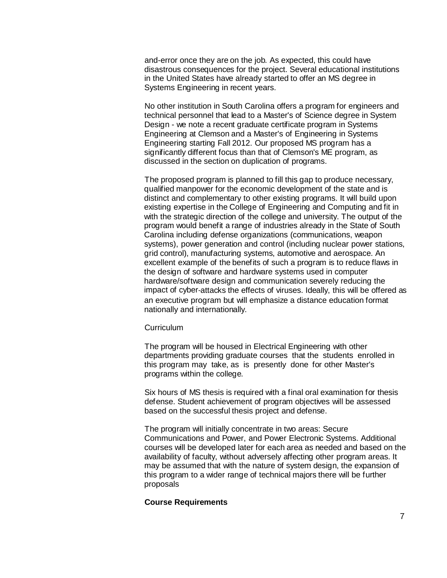and-error once they are on the job. As expected, this could have disastrous consequences for the project. Several educational institutions in the United States have already started to offer an MS degree in Systems Engineering in recent years.

No other institution in South Carolina offers a program for engineers and technical personnel that lead to a Master's of Science degree in System Design - we note a recent graduate certificate program in Systems Engineering at Clemson and a Master's of Engineering in Systems Engineering starting Fall 2012. Our proposed MS program has a significantly different focus than that of Clemson's ME program, as discussed in the section on duplication of programs.

The proposed program is planned to fill this gap to produce necessary, qualified manpower for the economic development of the state and is distinct and complementary to other existing programs. It will build upon existing expertise in the College of Engineering and Computing and fit in with the strategic direction of the college and university. The output of the program would benefit a range of industries already in the State of South Carolina including defense organizations (communications, weapon systems), power generation and control (including nuclear power stations, grid control), manufacturing systems, automotive and aerospace. An excellent example of the benefits of such a program is to reduce flaws in the design of software and hardware systems used in computer hardware/software design and communication severely reducing the impact of cyber-attacks the effects of viruses. Ideally, this will be offered as an executive program but will emphasize a distance education format nationally and internationally.

#### Curriculum

The program will be housed in Electrical Engineering with other departments providing graduate courses that the students enrolled in this program may take, as is presently done for other Master's programs within the college.

Six hours of MS thesis is required with a final oral examination for thesis defense. Student achievement of program objectives will be assessed based on the successful thesis project and defense.

The program will initially concentrate in two areas: Secure Communications and Power, and Power Electronic Systems. Additional courses will be developed later for each area as needed and based on the availability of faculty, without adversely affecting other program areas. It may be assumed that with the nature of system design, the expansion of this program to a wider range of technical majors there will be further proposals

#### **Course Requirements**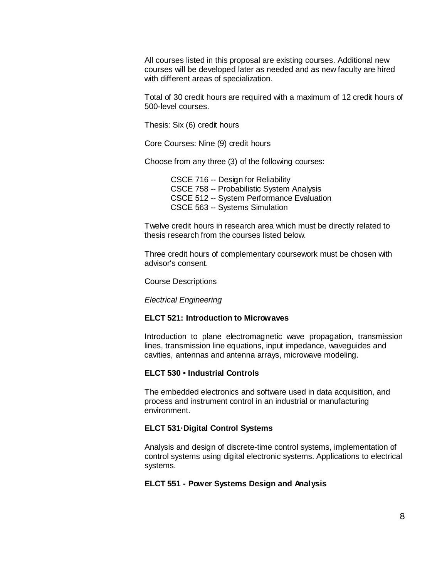All courses listed in this proposal are existing courses. Additional new courses will be developed later as needed and as new faculty are hired with different areas of specialization.

Total of 30 credit hours are required with a maximum of 12 credit hours of 500-level courses.

Thesis: Six (6) credit hours

Core Courses: Nine (9) credit hours

Choose from any three (3) of the following courses:

CSCE 716 -- Design for Reliability CSCE 758 -- Probabilistic System Analysis CSCE 512 -- System Performance Evaluation CSCE 563 -- Systems Simulation

Twelve credit hours in research area which must be directly related to thesis research from the courses listed below.

Three credit hours of complementary coursework must be chosen with advisor's consent.

Course Descriptions

*Electrical Engineering*

### **ELCT 521: Introduction to Microwaves**

Introduction to plane electromagnetic wave propagation, transmission lines, transmission line equations, input impedance, waveguides and cavities, antennas and antenna arrays, microwave modeling.

# **ELCT 530 • Industrial Controls**

The embedded electronics and software used in data acquisition, and process and instrument control in an industrial or manufacturing environment.

### **ELCT 531·Digital Control Systems**

Analysis and design of discrete-time control systems, implementation of control systems using digital electronic systems. Applications to electrical systems.

### **ELCT 551 - Power Systems Design and Analysis**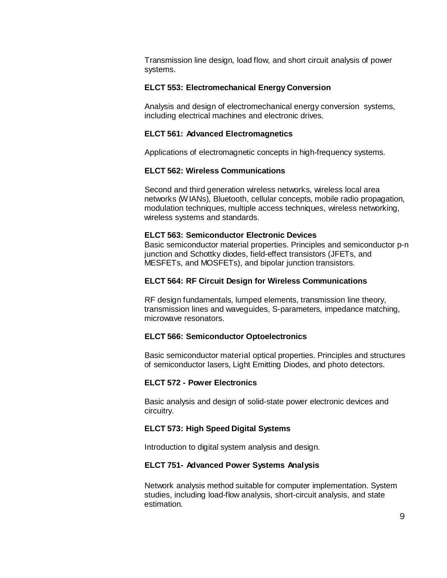Transmission line design, load flow, and short circuit analysis of power systems.

#### **ELCT 553: Electromechanical Energy Conversion**

Analysis and design of electromechanical energy conversion systems, including electrical machines and electronic drives.

#### **ELCT 561: Advanced Electromagnetics**

Applications of electromagnetic concepts in high-frequency systems.

#### **ELCT 562: Wireless Communications**

Second and third generation wireless networks, wireless local area networks (WIANs), Bluetooth, cellular concepts, mobile radio propagation, modulation techniques, multiple access techniques, wireless networking, wireless systems and standards.

#### **ELCT 563: Semiconductor Electronic Devices**

Basic semiconductor material properties. Principles and semiconductor p-n junction and Schottky diodes, field-effect transistors (JFETs, and MESFETs, and MOSFETs), and bipolar junction transistors.

### **ELCT 564: RF Circuit Design for Wireless Communications**

RF design fundamentals, lumped elements, transmission line theory, transmission lines and waveguides, S-parameters, impedance matching, microwave resonators.

### **ELCT 566: Semiconductor Optoelectronics**

Basic semiconductor material optical properties. Principles and structures of semiconductor lasers, Light Emitting Diodes, and photo detectors.

#### **ELCT 572 - Power Electronics**

Basic analysis and design of solid-state power electronic devices and circuitry.

### **ELCT 573: High Speed Digital Systems**

Introduction to digital system analysis and design.

#### **ELCT 751- Advanced Power Systems Analysis**

Network analysis method suitable for computer implementation. System studies, including load-flow analysis, short-circuit analysis, and state estimation.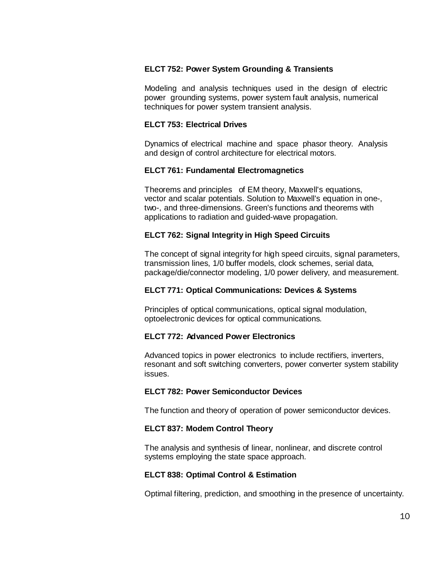### **ELCT 752: Power System Grounding & Transients**

Modeling and analysis techniques used in the design of electric power grounding systems, power system fault analysis, numerical techniques for power system transient analysis.

### **ELCT 753: Electrical Drives**

Dynamics of electrical machine and space phasor theory. Analysis and design of control architecture for electrical motors.

### **ELCT 761: Fundamental Electromagnetics**

Theorems and principles of EM theory, Maxwell's equations, vector and scalar potentials. Solution to Maxwell's equation in one-, two-, and three-dimensions. Green's functions and theorems with applications to radiation and guided-wave propagation.

# **ELCT 762: Signal Integrity in High Speed Circuits**

The concept of signal integrity for high speed circuits, signal parameters, transmission lines, 1/0 buffer models, clock schemes, serial data, package/die/connector modeling, 1/0 power delivery, and measurement.

### **ELCT 771: Optical Communications: Devices & Systems**

Principles of optical communications, optical signal modulation, optoelectronic devices for optical communications.

### **ELCT 772: Advanced Power Electronics**

Advanced topics in power electronics to include rectifiers, inverters, resonant and soft switching converters, power converter system stability issues.

### **ELCT 782: Power Semiconductor Devices**

The function and theory of operation of power semiconductor devices.

### **ELCT 837: Modem Control Theory**

The analysis and synthesis of linear, nonlinear, and discrete control systems employing the state space approach.

### **ELCT 838: Optimal Control & Estimation**

Optimal filtering, prediction, and smoothing in the presence of uncertainty.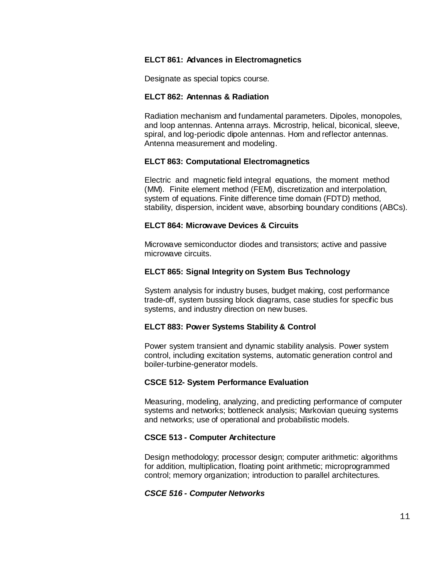### **ELCT 861: Advances in Electromagnetics**

Designate as special topics course.

### **ELCT 862: Antennas & Radiation**

Radiation mechanism and fundamental parameters. Dipoles, monopoles, and loop antennas. Antenna arrays. Microstrip, helical, biconical, sleeve, spiral, and log-periodic dipole antennas. Hom and reflector antennas. Antenna measurement and modeling.

### **ELCT 863: Computational Electromagnetics**

Electric and magnetic field integral equations, the moment method (MM). Finite element method (FEM), discretization and interpolation, system of equations. Finite difference time domain (FDTD) method, stability, dispersion, incident wave, absorbing boundary conditions (ABCs).

### **ELCT 864: Microwave Devices & Circuits**

Microwave semiconductor diodes and transistors; active and passive microwave circuits.

# **ELCT 865: Signal Integrity on System Bus Technology**

System analysis for industry buses, budget making, cost performance trade-off, system bussing block diagrams, case studies for specific bus systems, and industry direction on new buses.

# **ELCT 883: Power Systems Stability & Control**

Power system transient and dynamic stability analysis. Power system control, including excitation systems, automatic generation control and boiler-turbine-generator models.

# **CSCE 512- System Performance Evaluation**

Measuring, modeling, analyzing, and predicting performance of computer systems and networks; bottleneck analysis; Markovian queuing systems and networks; use of operational and probabilistic models.

# **CSCE 513 - Computer Architecture**

Design methodology; processor design; computer arithmetic: algorithms for addition, multiplication, floating point arithmetic; microprogrammed control; memory organization; introduction to parallel architectures.

### *CSCE 516 - Computer Networks*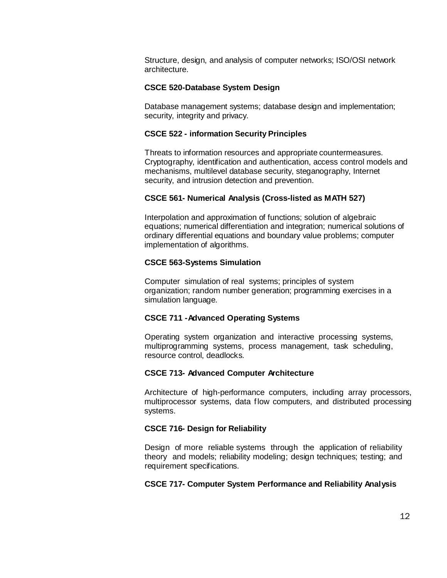Structure, design, and analysis of computer networks; ISO/OSI network architecture.

#### **CSCE 520-Database System Design**

Database management systems; database design and implementation; security, integrity and privacy.

#### **CSCE 522 - information Security Principles**

Threats to information resources and appropriate countermeasures. Cryptography, identification and authentication, access control models and mechanisms, multilevel database security, steganography, Internet security, and intrusion detection and prevention.

### **CSCE 561- Numerical Analysis (Cross-listed as MATH 527)**

Interpolation and approximation of functions; solution of algebraic equations; numerical differentiation and integration; numerical solutions of ordinary differential equations and boundary value problems; computer implementation of algorithms.

#### **CSCE 563-Systems Simulation**

Computer simulation of real systems; principles of system organization; random number generation; programming exercises in a simulation language.

#### **CSCE 711 -Advanced Operating Systems**

Operating system organization and interactive processing systems, multiprogramming systems, process management, task scheduling, resource control, deadlocks.

#### **CSCE 713- Advanced Computer Architecture**

Architecture of high-performance computers, including array processors, multiprocessor systems, data flow computers, and distributed processing systems.

#### **CSCE 716- Design for Reliability**

Design of more reliable systems through the application of reliability theory and models; reliability modeling; design techniques; testing; and requirement specifications.

### **CSCE 717- Computer System Performance and Reliability Analysis**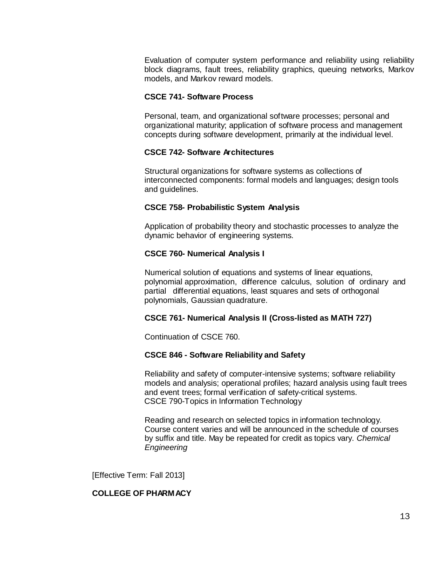Evaluation of computer system performance and reliability using reliability block diagrams, fault trees, reliability graphics, queuing networks, Markov models, and Markov reward models.

#### **CSCE 741- Software Process**

Personal, team, and organizational software processes; personal and organizational maturity; application of software process and management concepts during software development, primarily at the individual level.

# **CSCE 742- Software Architectures**

Structural organizations for software systems as collections of interconnected components: formal models and languages; design tools and guidelines.

### **CSCE 758- Probabilistic System Analysis**

Application of probability theory and stochastic processes to analyze the dynamic behavior of engineering systems.

### **CSCE 760- Numerical Analysis I**

Numerical solution of equations and systems of linear equations, polynomial approximation, difference calculus, solution of ordinary and partial differential equations, least squares and sets of orthogonal polynomials, Gaussian quadrature.

### **CSCE 761- Numerical Analysis II (Cross-listed as MATH 727)**

Continuation of CSCE 760.

### **CSCE 846 - Software Reliability and Safety**

Reliability and safety of computer-intensive systems; software reliability models and analysis; operational profiles; hazard analysis using fault trees and event trees; formal verification of safety-critical systems. CSCE 790-Topics in Information Technology

Reading and research on selected topics in information technology. Course content varies and will be announced in the schedule of courses by suffix and title. May be repeated for credit as topics vary. *Chemical Engineering*

[Effective Term: Fall 2013]

### **COLLEGE OF PHARMACY**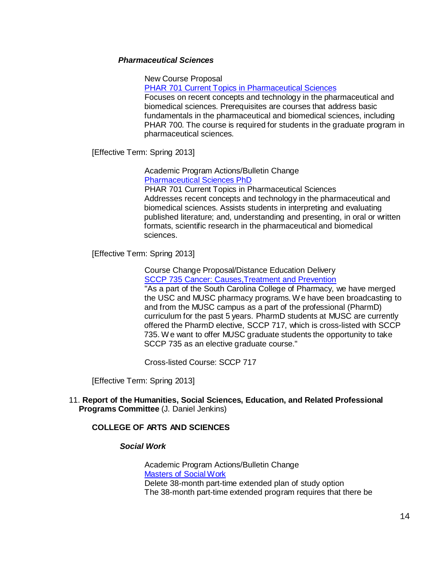### *Pharmaceutical Sciences*

New Course Proposal

PHAR 701 Current Topics in [Pharmaceutical](http://gradschool.sc.edu/facstaff/gradcouncil/2012/PHAR%20701%20Cur.%20Topics%20in%20Pharm%20Sciences%20NCP%2020121115_Redacted.pdf) Sciences

Focuses on recent concepts and technology in the pharmaceutical and biomedical sciences. Prerequisites are courses that address basic fundamentals in the pharmaceutical and biomedical sciences, including PHAR 700. The course is required for students in the graduate program in pharmaceutical sciences.

[Effective Term: Spring 2013]

Academic Program Actions/Bulletin Change [Pharmaceutical](http://gradschool.sc.edu/facstaff/gradcouncil/2012/Pharmaceutical%20Sciences%20PhD%20APA%20BCH%2020121115_Redacted.pdf) Sciences PhD

PHAR 701 Current Topics in Pharmaceutical Sciences Addresses recent concepts and technology in the pharmaceutical and biomedical sciences. Assists students in interpreting and evaluating published literature; and, understanding and presenting, in oral or written formats, scientific research in the pharmaceutical and biomedical sciences.

[Effective Term: Spring 2013]

Course Change Proposal/Distance Education Delivery SCCP 735 Cancer: [Causes,Treatment](http://gradschool.sc.edu/facstaff/gradcouncil/2012/SCCP%20735%20Cancer%20Causes%2CTrtmnt%20%26%20Prventn%2020121115_Redacted.pdf) and Prevention "As a part of the South Carolina College of Pharmacy, we have merged the USC and MUSC pharmacy programs. We have been broadcasting to and from the MUSC campus as a part of the professional (PharmD) curriculum for the past 5 years. PharmD students at MUSC are currently offered the PharmD elective, SCCP 717, which is cross-listed with SCCP 735. We want to offer MUSC graduate students the opportunity to take SCCP 735 as an elective graduate course."

Cross-listed Course: SCCP 717

[Effective Term: Spring 2013]

# 11. **Report of the Humanities, Social Sciences, Education, and Related Professional Programs Committee** (J. Daniel Jenkins)

# **COLLEGE OF ARTS AND SCIENCES**

# *Social Work*

Academic Program Actions/Bulletin Change [Masters](http://gradschool.sc.edu/facstaff/gradcouncil/2012/MSW%20APA%20BCH_Redacted.pdf) of Social Work Delete 38-month part-time extended plan of study option The 38-month part-time extended program requires that there be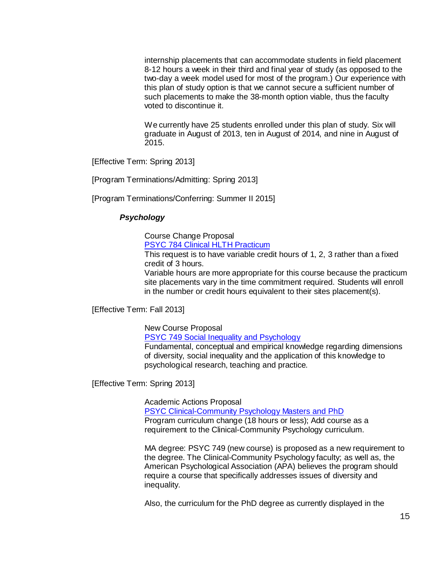internship placements that can accommodate students in field placement 8-12 hours a week in their third and final year of study (as opposed to the two-day a week model used for most of the program.) Our experience with this plan of study option is that we cannot secure a sufficient number of such placements to make the 38-month option viable, thus the faculty voted to discontinue it.

We currently have 25 students enrolled under this plan of study. Six will graduate in August of 2013, ten in August of 2014, and nine in August of 2015.

[Effective Term: Spring 2013]

[Program Terminations/Admitting: Spring 2013]

[Program Terminations/Conferring: Summer II 2015]

# *Psychology*

Course Change Proposal

PSYC 784 [Clinical HLTH](http://gradschool.sc.edu/facstaff/gradcouncil/2012/PSYC%20784%20Clinical%20HLTH%20Practicum%20CCP%2020121114_Redacted.pdf) Practicum

This request is to have variable credit hours of 1, 2, 3 rather than a fixed credit of 3 hours.

Variable hours are more appropriate for this course because the practicum site placements vary in the time commitment required. Students will enroll in the number or credit hours equivalent to their sites placement(s).

[Effective Term: Fall 2013]

New Course Proposal

PSYC 749 Social Inequality and [Psychology](http://gradschool.sc.edu/facstaff/gradcouncil/2012/PSYC%20749%20Social%20Inequality%20and%20Psychology%20NCP%2020121114_Redacted.pdf)

Fundamental, conceptual and empirical knowledge regarding dimensions of diversity, social inequality and the application of this knowledge to psychological research, teaching and practice.

[Effective Term: Spring 2013]

Academic Actions Proposal

[PSYC Clinical-Community](http://gradschool.sc.edu/facstaff/gradcouncil/2012/Clinical-Community%20Psychology%20Masters%20and%20PhD%20APA%2020121114_Redacted.pdf) Psychology Masters and PhD Program curriculum change (18 hours or less); Add course as a requirement to the Clinical-Community Psychology curriculum.

MA degree: PSYC 749 (new course) is proposed as a new requirement to the degree. The Clinical-Community Psychology faculty; as well as, the American Psychological Association (APA) believes the program should require a course that specifically addresses issues of diversity and inequality.

Also, the curriculum for the PhD degree as currently displayed in the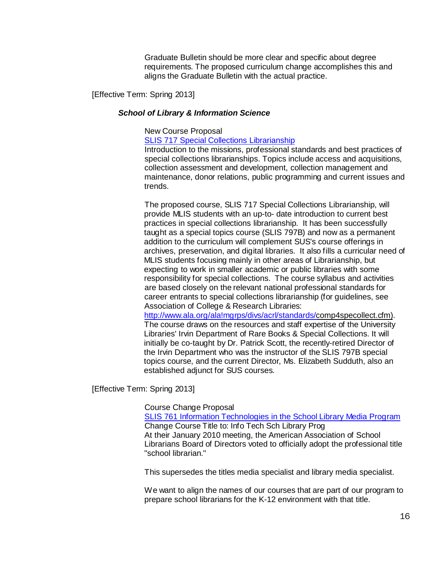Graduate Bulletin should be more clear and specific about degree requirements. The proposed curriculum change accomplishes this and aligns the Graduate Bulletin with the actual practice.

[Effective Term: Spring 2013]

#### *School of Library & Information Science*

#### New Course Proposal

SLIS 717 Special Collections [Librarianship](http://gradschool.sc.edu/facstaff/gradcouncil/2012/SLIS%20717%20Special%20Collections%20Librarianship%20NCP%2020121114_Redacted.pdf)

Introduction to the missions, professional standards and best practices of special collections librarianships. Topics include access and acquisitions, collection assessment and development, collection management and maintenance, donor relations, public programming and current issues and trends.

The proposed course, SLIS 717 Special Collections Librarianship, will provide MLIS students with an up-to- date introduction to current best practices in special collections librarianship. It has been successfully taught as a special topics course (SLIS 797B) and now as a permanent addition to the curriculum will complement SUS's course offerings in archives, preservation, and digital libraries. It also fills a curricular need of MLIS students focusing mainly in other areas of Librarianship, but expecting to work in smaller academic or public libraries with some responsibility for special collections. The course syllabus and activities are based closely on the relevant national professional standards for career entrants to special collections librarianship (for guidelines, see Association of College & Research Libraries:

[http://www.ala.org/ala!mgrps/divs/acrl/standards/c](http://www.ala.org/ala!mgrps/divs/acrl/standards/)omp4specollect.cfm). The course draws on the resources and staff expertise of the University Libraries' Irvin Department of Rare Books & Special Collections. It will initially be co-taught by Dr. Patrick Scott, the recently-retired Director of the Irvin Department who was the instructor of the SLIS 797B special topics course, and the current Director, Ms. Elizabeth Sudduth, also an established adjunct for SUS courses.

[Effective Term: Spring 2013]

Course Change Proposal

SLIS 761 Information [Technologies](http://gradschool.sc.edu/facstaff/gradcouncil/2012/SLIS761%20Information%20Technologies%20in%20the%20School%20Library%20Media%20Program%2024Oct2012_Redacted.pdf) in the School Library Media Program Change Course Title to: Info Tech Sch Library Prog At their January 2010 meeting, the American Association of School Librarians Board of Directors voted to officially adopt the professional title "school librarian."

This supersedes the titles media specialist and library media specialist.

We want to align the names of our courses that are part of our program to prepare school librarians for the K-12 environment with that title.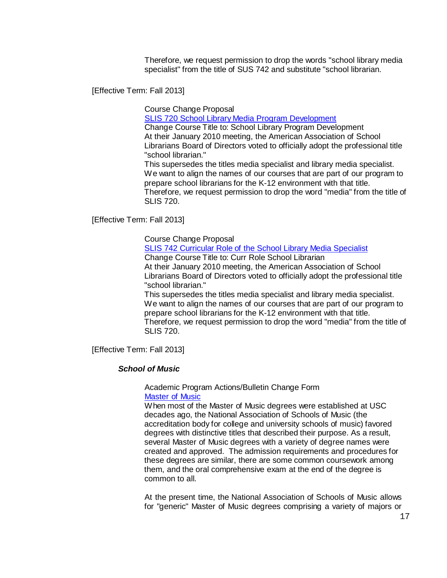Therefore, we request permission to drop the words "school library media specialist" from the title of SUS 742 and substitute "school librarian.

[Effective Term: Fall 2013]

Course Change Proposal

SLIS 720 School Library Media Program [Development](http://gradschool.sc.edu/facstaff/gradcouncil/2012/SLIS720%20School%20Library%20Media%20Program%20Development%2024Oct2012_Redacted.pdf)

Change Course Title to: School Library Program Development At their January 2010 meeting, the American Association of School Librarians Board of Directors voted to officially adopt the professional title "school librarian."

This supersedes the titles media specialist and library media specialist. We want to align the names of our courses that are part of our program to prepare school librarians for the K-12 environment with that title. Therefore, we request permission to drop the word "media" from the title of SLIS 720.

[Effective Term: Fall 2013]

Course Change Proposal

SLIS 742 Curricular Role of the School Library Media [Specialist](http://gradschool.sc.edu/facstaff/gradcouncil/2012/SLIS742%20CCP%20Curricular%20Role%20of%20the%20School%20Library%20Media%20Specialist%2024Oct2012.pdf) Change Course Title to: Curr Role School Librarian At their January 2010 meeting, the American Association of School Librarians Board of Directors voted to officially adopt the professional title "school librarian."

This supersedes the titles media specialist and library media specialist. We want to align the names of our courses that are part of our program to prepare school librarians for the K-12 environment with that title. Therefore, we request permission to drop the word "media" from the title of SLIS 720.

[Effective Term: Fall 2013]

# *School of Music*

Academic Program Actions/Bulletin Change Form [Master](http://gradschool.sc.edu/facstaff/gradcouncil/2012/Master%20of%20Music%20BCH.pdf) of Music

When most of the Master of Music degrees were established at USC decades ago, the National Association of Schools of Music (the accreditation body for college and university schools of music) favored degrees with distinctive titles that described their purpose. As a result, several Master of Music degrees with a variety of degree names were created and approved. The admission requirements and procedures for these degrees are similar, there are some common coursework among them, and the oral comprehensive exam at the end of the degree is common to all.

At the present time, the National Association of Schools of Music allows for "generic" Master of Music degrees comprising a variety of majors or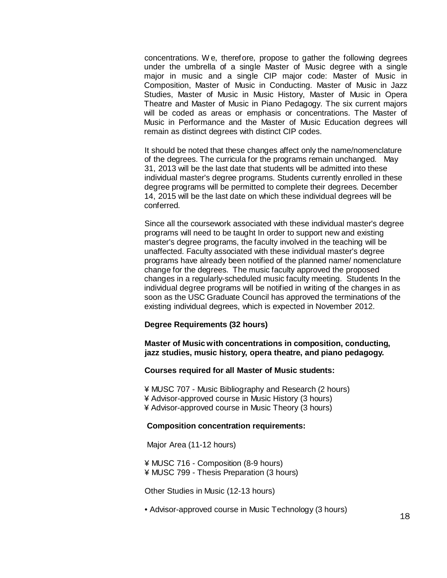concentrations. W e, therefore, propose to gather the following degrees under the umbrella of a single Master of Music degree with a single major in music and a single CIP major code: Master of Music in Composition, Master of Music in Conducting. Master of Music in Jazz Studies, Master of Music in Music History, Master of Music in Opera Theatre and Master of Music in Piano Pedagogy. The six current majors will be coded as areas or emphasis or concentrations. The Master of Music in Performance and the Master of Music Education degrees will remain as distinct degrees with distinct CIP codes.

It should be noted that these changes affect only the name/nomenclature of the degrees. The curricula for the programs remain unchanged. May 31, 2013 will be the last date that students will be admitted into these individual master's degree programs. Students currently enrolled in these degree programs will be permitted to complete their degrees. December 14, 2015 will be the last date on which these individual degrees will be conferred.

Since all the coursework associated with these individual master's degree programs will need to be taught In order to support new and existing master's degree programs, the faculty involved in the teaching will be unaffected. Faculty associated with these individual master's degree programs have already been notified of the planned name/ nomenclature change for the degrees. The music faculty approved the proposed changes in a regularly-scheduled music faculty meeting. Students In the individual degree programs will be notified in writing of the changes in as soon as the USC Graduate Council has approved the terminations of the existing individual degrees, which is expected in November 2012.

### **Degree Requirements (32 hours)**

**Master of Music with concentrations in composition, conducting, jazz studies, music history, opera theatre, and piano pedagogy.**

#### **Courses required for all Master of Music students:**

¥ MUSC 707 - Music Bibliography and Research (2 hours) ¥ Advisor-approved course in Music History (3 hours) ¥ Advisor-approved course in Music Theory (3 hours)

### **Composition concentration requirements:**

Major Area (11-12 hours)

¥ MUSC 716 - Composition (8-9 hours) ¥ MUSC 799 - Thesis Preparation (3 hours)

Other Studies in Music (12-13 hours)

• Advisor-approved course in Music Technology (3 hours)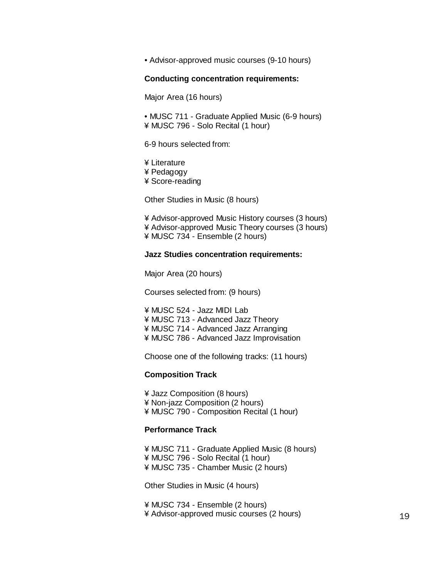• Advisor-approved music courses (9-10 hours)

#### **Conducting concentration requirements:**

Major Area (16 hours)

• MUSC 711 - Graduate Applied Music (6-9 hours) ¥ MUSC 796 - Solo Recital (1 hour)

6-9 hours selected from:

¥ Literature ¥ Pedagogy ¥ Score-reading

Other Studies in Music (8 hours)

¥ Advisor-approved Music History courses (3 hours) ¥ Advisor-approved Music Theory courses (3 hours) ¥ MUSC 734 - Ensemble (2 hours)

#### **Jazz Studies concentration requirements:**

Major Area (20 hours)

Courses selected from: (9 hours)

¥ MUSC 524 - Jazz MIDI Lab ¥ MUSC 713 - Advanced Jazz Theory ¥ MUSC 714 - Advanced Jazz Arranging ¥ MUSC 786 - Advanced Jazz Improvisation

Choose one of the following tracks: (11 hours)

### **Composition Track**

¥ Jazz Composition (8 hours) ¥ Non-jazz Composition (2 hours) ¥ MUSC 790 - Composition Recital (1 hour)

### **Performance Track**

¥ MUSC 711 - Graduate Applied Music (8 hours) ¥ MUSC 796 - Solo Recital (1 hour) ¥ MUSC 735 - Chamber Music (2 hours)

Other Studies in Music (4 hours)

¥ MUSC 734 - Ensemble (2 hours) ¥ Advisor-approved music courses (2 hours) 19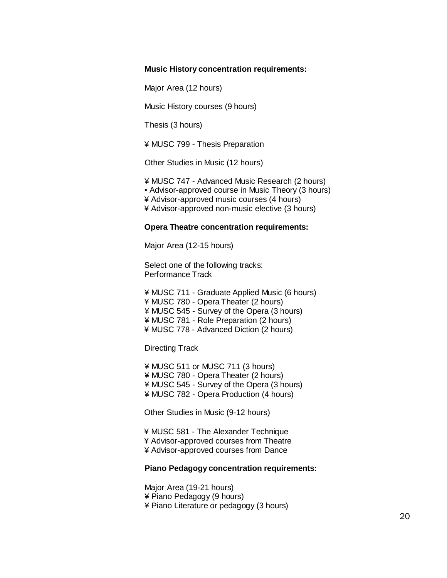#### **Music History concentration requirements:**

Major Area (12 hours)

Music History courses (9 hours)

Thesis (3 hours)

¥ MUSC 799 - Thesis Preparation

Other Studies in Music (12 hours)

¥ MUSC 747 - Advanced Music Research (2 hours)

• Advisor-approved course in Music Theory (3 hours)

¥ Advisor-approved music courses (4 hours)

¥ Advisor-approved non-music elective (3 hours)

#### **Opera Theatre concentration requirements:**

Major Area (12-15 hours)

Select one of the following tracks: Performance Track

¥ MUSC 711 - Graduate Applied Music (6 hours) ¥ MUSC 780 - Opera Theater (2 hours) ¥ MUSC 545 - Survey of the Opera (3 hours) ¥ MUSC 781 - Role Preparation (2 hours) ¥ MUSC 778 - Advanced Diction (2 hours)

Directing Track

¥ MUSC 511 or MUSC 711 (3 hours) ¥ MUSC 780 - Opera Theater (2 hours) ¥ MUSC 545 - Survey of the Opera (3 hours) ¥ MUSC 782 - Opera Production (4 hours)

Other Studies in Music (9-12 hours)

¥ MUSC 581 - The Alexander Technique ¥ Advisor-approved courses from Theatre ¥ Advisor-approved courses from Dance

#### **Piano Pedagogy concentration requirements:**

Major Area (19-21 hours) ¥ Piano Pedagogy (9 hours) ¥ Piano Literature or pedagogy (3 hours)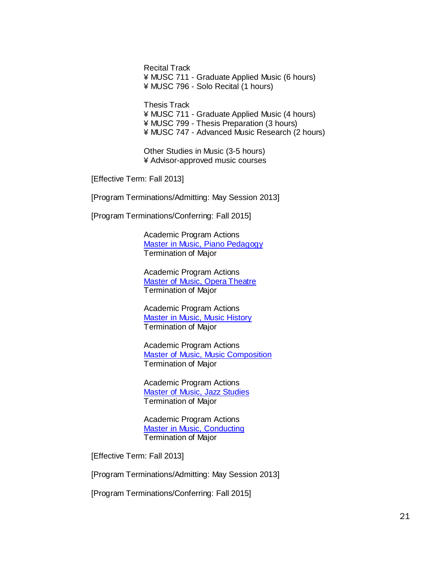Recital Track ¥ MUSC 711 - Graduate Applied Music (6 hours) ¥ MUSC 796 - Solo Recital (1 hours)

Thesis Track ¥ MUSC 711 - Graduate Applied Music (4 hours) ¥ MUSC 799 - Thesis Preparation (3 hours) ¥ MUSC 747 - Advanced Music Research (2 hours)

Other Studies in Music (3-5 hours) ¥ Advisor-approved music courses

[Effective Term: Fall 2013]

[Program Terminations/Admitting: May Session 2013]

[Program Terminations/Conferring: Fall 2015]

Academic Program Actions Master in Music, Piano [Pedagogy](http://gradschool.sc.edu/facstaff/gradcouncil/2012/APA_MMpnoped_Term.pdf) Termination of Major

Academic Program Actions Master of Music, Opera [Theatre](http://gradschool.sc.edu/facstaff/gradcouncil/2012/APA_MMopera_Term.pdf) Termination of Major

Academic Program Actions Master in Music, Music [History](http://gradschool.sc.edu/facstaff/gradcouncil/2012/APA_MMhist_Term.pdf) Termination of Major

Academic Program Actions Master of Music, Music [Composition](http://gradschool.sc.edu/facstaff/gradcouncil/2012/APA_MMcomp_Term.pdf) Termination of Major

Academic Program Actions Master of Music, Jazz [Studies](http://gradschool.sc.edu/facstaff/gradcouncil/2012/APA_MMjazz_Term.pdf) Termination of Major

Academic Program Actions Master in Music, [Conducting](http://gradschool.sc.edu/facstaff/gradcouncil/2012/APA_MMcond_Term.pdf) Termination of Major

[Effective Term: Fall 2013]

[Program Terminations/Admitting: May Session 2013]

[Program Terminations/Conferring: Fall 2015]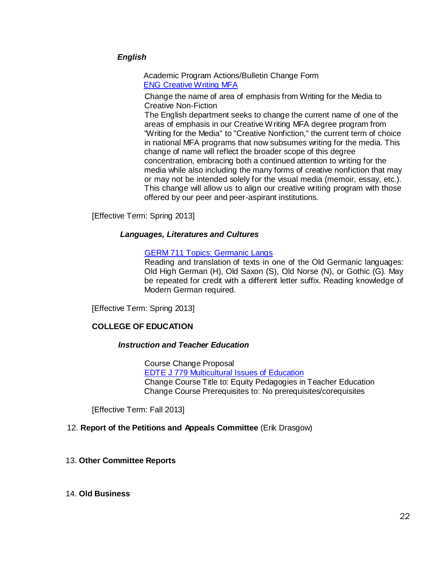# *English*

Academic Program Actions/Bulletin Change Form ENG [Creative](http://gradschool.sc.edu/facstaff/gradcouncil/2012/English%20Creative%20Writing%20MFA_Redacted.pdf) Writing MFA

Change the name of area of emphasis from Writing for the Media to Creative Non-Fiction

The English department seeks to change the current name of one of the areas of emphasis in our Creative Writing MFA degree program from "Writing for the Media" to "Creative Nonfiction," the current term of choice in national MFA programs that now subsumes writing for the media. This change of name will reflect the broader scope of this degree concentration, embracing both a continued attention to writing for the media while also including the many forms of creative nonfiction that may or may not be intended solely for the visual media (memoir, essay, etc.). This change will allow us to align our creative writing program with those offered by our peer and peer-aspirant institutions.

[Effective Term: Spring 2013]

### *Languages, Literatures and Cultures*

### GERM 711 [Topics: Germanic](http://gradschool.sc.edu/facstaff/gradcouncil/2012/GERM%20711%20Topics%20Germanic%20Langs%20NCP_Redacted.pdf) Langs

Reading and translation of texts in one of the Old Germanic languages: Old High German (H), Old Saxon (S), Old Norse (N), or Gothic (G). May be repeated for credit with a different letter suffix. Reading knowledge of Modern German required.

[Effective Term: Spring 2013]

# **COLLEGE OF EDUCATION**

### *Instruction and Teacher Education*

Course Change Proposal EDTE J 779 [Multicultural](http://gradschool.sc.edu/facstaff/gradcouncil/2012/EDTE%20J%20779%20Multicultural%20Issues%20of%20Education%20CCP_Redacted.pdf) Issues of Education Change Course Title to: Equity Pedagogies in Teacher Education Change Course Prerequisites to: No prerequisites/corequisites

[Effective Term: Fall 2013]

# 12. **Report of the Petitions and Appeals Committee** (Erik Drasgow)

### 13. **Other Committee Reports**

### 14. **Old Business**